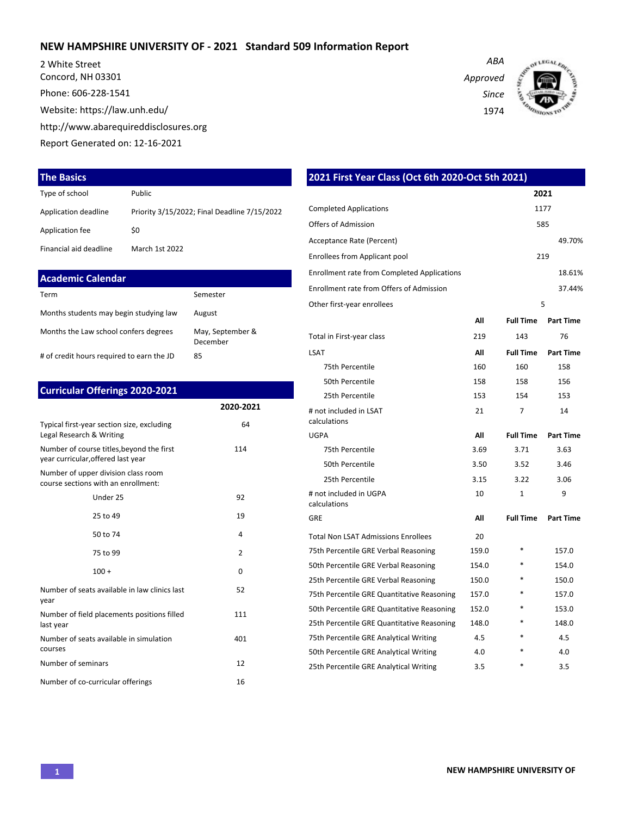### **NEW HAMPSHIRE UNIVERSITY OF - 2021 Standard 509 Information Report**

2 White Street Concord, NH 03301 Phone: 606-228-1541 Website: https://law.unh.edu/ http://www.abarequireddisclosures.org Report Generated on: 12-16-2021

#### **The Basics**

| Type of school         | <b>Public</b>                                |
|------------------------|----------------------------------------------|
| Application deadline   | Priority 3/15/2022; Final Deadline 7/15/2022 |
| Application fee        | \$0                                          |
| Financial aid deadline | March 1st 2022                               |

| <b>Academic Calendar</b>                  |                              |
|-------------------------------------------|------------------------------|
| Term                                      | Semester                     |
| Months students may begin studying law    | August                       |
| Months the Law school confers degrees     | May, September &<br>December |
| # of credit hours required to earn the JD | 85                           |

### **Curricular Offerings 2020-2021 2020-2021** Typical first-year section size, excluding Legal Research & Writing 64 Number of course titles,beyond the first year curricular,offered last year 114 Number of upper division class room course sections with an enrollment: Under 25 92 25 to 49 19  $50 \text{ to } 74$   $4$ 75 to 99 2  $100 +$  0 Number of seats available in law clinics last year 52 Number of field placements positions filled last year 111 Number of seats available in simulation courses 401 Number of seminars 12

Number of co-curricular offerings 16

1974 **2021 First Year Class (Oct 6th 2020-Oct 5th 2021) 2021** Completed Applications 1177 Offers of Admission 585 Acceptance Rate (Percent) 49.70% Enrollees from Applicant pool 219 Enrollment rate from Completed Applications 18.61% Enrollment rate from Offers of Admission 37.44% Other first-year enrollees 5 **All Full Time Part Time** Total in First-year class 219 143 76 LSAT **All Full Time Part Time** 75th Percentile 200 160 160 158 50th Percentile 158 158 156

25th Percentile 25th Percentile 153

UGPA **All Full Time Part Time** 75th Percentile 3.69 3.71 3.63 50th Percentile 3.50 3.52 3.46 25th Percentile 3.15 3.22 3.06

GRE **All Full Time Part Time**

75th Percentile GRE Verbal Reasoning 159.0  $*$  157.0 50th Percentile GRE Verbal Reasoning 154.0  $*$  154.0 25th Percentile GRE Verbal Reasoning 150.0  $*$  150.0 75th Percentile GRE Quantitative Reasoning 157.0 \* 157.0 50th Percentile GRE Quantitative Reasoning 152.0 \* 153.0 25th Percentile GRE Quantitative Reasoning 148.0 \* 148.0 75th Percentile GRE Analytical Writing  $4.5$  \*  $4.5$ 50th Percentile GRE Analytical Writing  $4.0$  \*  $4.0$ 25th Percentile GRE Analytical Writing 3.5 \* 3.5 3.5

Total Non LSAT Admissions Enrollees 20

21 7 14

1 9

# not included in LSAT calculations

# not included in UGPA

calculations

*ABA*

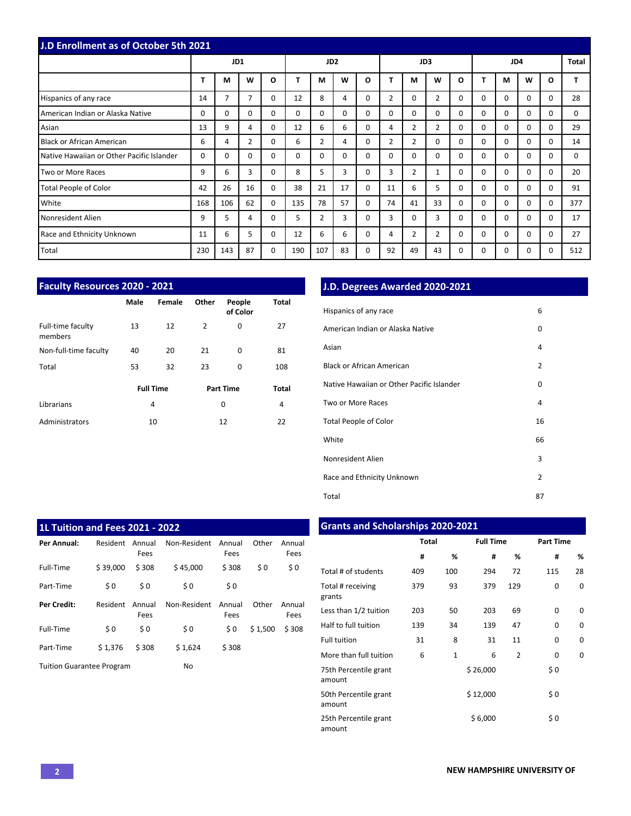| <b>J.D Enrollment as of October 5th 2021</b> |     |          |          |              |                 |                |          |          |                |                |                |          |          |          |          |              |          |
|----------------------------------------------|-----|----------|----------|--------------|-----------------|----------------|----------|----------|----------------|----------------|----------------|----------|----------|----------|----------|--------------|----------|
|                                              |     | JD1      |          |              | JD <sub>2</sub> |                |          |          | JD3            |                |                |          | JD4      |          |          |              | Total    |
|                                              | т   | M        | W        | $\mathbf{o}$ |                 | M              | W        | O        |                | М              | W              | $\Omega$ | т        | M        | W        | $\mathbf{o}$ |          |
| Hispanics of any race                        | 14  | 7        | 7        | $\Omega$     | 12              | 8              | 4        | $\Omega$ | $\overline{2}$ | 0              | $\overline{2}$ | $\Omega$ | $\Omega$ | $\Omega$ | $\Omega$ | $\Omega$     | 28       |
| American Indian or Alaska Native             | 0   | 0        | $\Omega$ | 0            | $\Omega$        | $\Omega$       | $\Omega$ | $\Omega$ | 0              | 0              | $\mathbf 0$    | $\Omega$ | $\Omega$ | $\Omega$ | $\Omega$ | $\Omega$     | 0        |
| Asian                                        | 13  | 9        | 4        | $\Omega$     | 12              | 6              | 6        | $\Omega$ | 4              | $\overline{2}$ | $\overline{2}$ | $\Omega$ | $\Omega$ | $\Omega$ | $\Omega$ | $\Omega$     | 29       |
| Black or African American                    | 6   | 4        | 2        | $\Omega$     | 6               | $\overline{2}$ | 4        | $\Omega$ | 2              | $\overline{2}$ | $\Omega$       | $\Omega$ | 0        | $\Omega$ | $\Omega$ | $\Omega$     | 14       |
| Native Hawaiian or Other Pacific Islander    | 0   | $\Omega$ | 0        | 0            | $\Omega$        | $\Omega$       | $\Omega$ | $\Omega$ | 0              | 0              | $\mathbf 0$    | $\Omega$ | $\Omega$ | $\Omega$ | $\Omega$ | $\Omega$     | $\Omega$ |
| Two or More Races                            | 9   | 6        | 3        | 0            | 8               | 5              | 3        | $\Omega$ | 3              | $\overline{2}$ | 1              | $\Omega$ | $\Omega$ | $\Omega$ | $\Omega$ | $\Omega$     | 20       |
| Total People of Color                        | 42  | 26       | 16       | $\Omega$     | 38              | 21             | 17       | $\Omega$ | 11             | 6              | 5              | $\Omega$ | $\Omega$ | $\Omega$ | $\Omega$ | $\Omega$     | 91       |
| White                                        | 168 | 106      | 62       | 0            | 135             | 78             | 57       | $\Omega$ | 74             | 41             | 33             | $\Omega$ | $\Omega$ | $\Omega$ | $\Omega$ | $\Omega$     | 377      |
| Nonresident Alien                            | 9   | 5        | 4        | $\Omega$     | 5               | $\overline{2}$ | 3        | $\Omega$ | 3              | 0              | 3              | $\Omega$ | $\Omega$ | $\Omega$ | $\Omega$ | $\Omega$     | 17       |
| Race and Ethnicity Unknown                   | 11  | 6        | 5        | 0            | 12              | 6              | 6        | 0        | 4              | 2              | $\overline{2}$ | 0        | $\Omega$ | $\Omega$ | $\Omega$ | $\Omega$     | 27       |
| Total                                        | 230 | 143      | 87       | 0            | 190             | 107            | 83       | 0        | 92             | 49             | 43             | 0        | $\Omega$ | $\Omega$ | $\Omega$ | $\Omega$     | 512      |

| <b>Faculty Resources 2020 - 2021</b> |      |                  |                |                    |       |  |  |  |  |  |
|--------------------------------------|------|------------------|----------------|--------------------|-------|--|--|--|--|--|
|                                      | Male | Female           | Other          | People<br>of Color | Total |  |  |  |  |  |
| Full-time faculty<br>members         | 13   | 12               | $\overline{2}$ | 0                  | 27    |  |  |  |  |  |
| Non-full-time faculty                | 40   | 20               | 21             | $\Omega$           | 81    |  |  |  |  |  |
| Total                                | 53   | 32               | 23             | $\Omega$           | 108   |  |  |  |  |  |
|                                      |      | <b>Full Time</b> |                | <b>Part Time</b>   | Total |  |  |  |  |  |
| Librarians                           |      | 4                |                | 0                  | 4     |  |  |  |  |  |
| Administrators                       |      | 10               |                | 12                 | 22    |  |  |  |  |  |

# **J.D. Degrees Awarded 2020-2021**

| Hispanics of any race                     | 6  |
|-------------------------------------------|----|
| American Indian or Alaska Native          | 0  |
| Asian                                     | 4  |
| <b>Black or African American</b>          | 2  |
| Native Hawaiian or Other Pacific Islander | 0  |
| Two or More Races                         | 4  |
| <b>Total People of Color</b>              | 16 |
| White                                     | 66 |
| Nonresident Alien                         | 3  |
| Race and Ethnicity Unknown                | 2  |
| Total                                     | 87 |

| 1L Tuition and Fees 2021 - 2022  |          |                |              |                |         |                |  |  |  |  |  |
|----------------------------------|----------|----------------|--------------|----------------|---------|----------------|--|--|--|--|--|
| Per Annual:                      | Resident | Annual<br>Fees | Non-Resident | Annual<br>Fees | Other   | Annual<br>Fees |  |  |  |  |  |
| Full-Time                        | \$39.000 | \$308          | \$45.000     | \$308          | \$0     | \$0            |  |  |  |  |  |
| Part-Time                        | \$0      | \$0            | \$0          | \$0            |         |                |  |  |  |  |  |
| Per Credit:                      | Resident | Annual<br>Fees | Non-Resident | Annual<br>Fees | Other   | Annual<br>Fees |  |  |  |  |  |
| Full-Time                        | \$0      | \$0            | \$0          | \$0            | \$1,500 | \$308          |  |  |  |  |  |
| Part-Time                        | \$1.376  | \$308          | \$1,624      | \$308          |         |                |  |  |  |  |  |
| <b>Tuition Guarantee Program</b> |          |                | No           |                |         |                |  |  |  |  |  |

## **Grants and Scholarships 2020-2021**

|                                 | <b>Total</b> |              | <b>Full Time</b> |                | <b>Part Time</b> |          |  |  |
|---------------------------------|--------------|--------------|------------------|----------------|------------------|----------|--|--|
|                                 | #            | %            | #                | ℅              | #                | %        |  |  |
| Total # of students             | 409          | 100          | 294              | 72             | 115              | 28       |  |  |
| Total # receiving<br>grants     | 379          | 93           | 379              | 129            | 0                | 0        |  |  |
| Less than 1/2 tuition           | 203          | 50           | 203              | 69             | $\Omega$         | $\Omega$ |  |  |
| Half to full tuition            | 139          | 34           | 139              | 47             | 0                | 0        |  |  |
| <b>Full tuition</b>             | 31           | 8            | 31               | 11             | 0                | 0        |  |  |
| More than full tuition          | 6            | $\mathbf{1}$ | 6                | $\overline{2}$ | 0                | 0        |  |  |
| 75th Percentile grant<br>amount |              |              | \$26,000         |                | \$0              |          |  |  |
| 50th Percentile grant<br>amount |              |              | \$12,000         |                | \$0              |          |  |  |
| 25th Percentile grant<br>amount |              |              | \$6,000          |                | \$0              |          |  |  |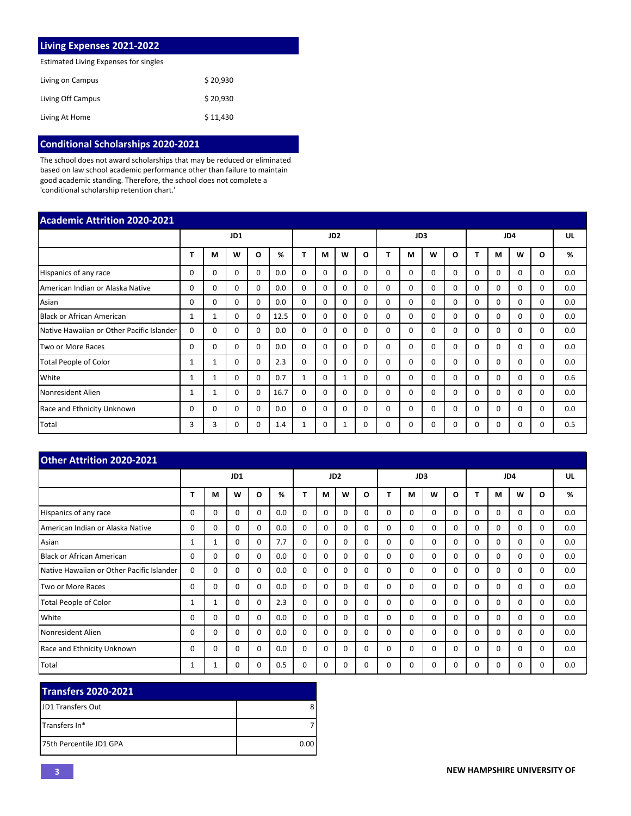| <b>Living Expenses 2021-2022</b>      |          |  |  |  |  |  |  |  |
|---------------------------------------|----------|--|--|--|--|--|--|--|
| Estimated Living Expenses for singles |          |  |  |  |  |  |  |  |
| Living on Campus                      | \$20.930 |  |  |  |  |  |  |  |
| Living Off Campus                     | \$20.930 |  |  |  |  |  |  |  |
| Living At Home                        | \$11,430 |  |  |  |  |  |  |  |

## **Conditional Scholarships 2020-2021**

The school does not award scholarships that may be reduced or eliminated based on law school academic performance other than failure to maintain good academic standing. Therefore, the school does not complete a 'conditional scholarship retention chart.'

| <b>Academic Attrition 2020-2021</b>       |              |              |          |          |      |                 |             |              |          |                 |          |          |              |          |          |          |          |     |
|-------------------------------------------|--------------|--------------|----------|----------|------|-----------------|-------------|--------------|----------|-----------------|----------|----------|--------------|----------|----------|----------|----------|-----|
|                                           |              | JD1          |          |          |      | JD <sub>2</sub> |             |              |          | JD <sub>3</sub> |          |          |              | JD4      |          |          |          |     |
|                                           | т            | M            | W        | O        | %    | т               | М           | W            | O        |                 | М        | W        | O            |          | M        | W        | O        | %   |
| Hispanics of any race                     | 0            | $\Omega$     | $\Omega$ | 0        | 0.0  | $\Omega$        | $\Omega$    | 0            | $\Omega$ | $\Omega$        | 0        | $\Omega$ | <sup>0</sup> | 0        | $\Omega$ | $\Omega$ | $\Omega$ | 0.0 |
| American Indian or Alaska Native          | 0            | 0            | 0        | 0        | 0.0  | $\mathbf 0$     | $\mathbf 0$ | $\Omega$     | 0        | 0               | 0        | 0        | $\Omega$     | 0        | 0        | $\Omega$ | $\Omega$ | 0.0 |
| Asian                                     | 0            | $\Omega$     | $\Omega$ | 0        | 0.0  | $\mathbf 0$     | $\Omega$    | 0            | $\Omega$ | $\Omega$        | $\Omega$ | $\Omega$ | $\Omega$     | $\Omega$ | $\Omega$ | $\Omega$ | $\Omega$ | 0.0 |
| <b>Black or African American</b>          | $\mathbf{1}$ | $\mathbf{1}$ | $\Omega$ | 0        | 12.5 | $\Omega$        | $\Omega$    | 0            | $\Omega$ | $\Omega$        | $\Omega$ | $\Omega$ | $\Omega$     | $\Omega$ | $\Omega$ | $\Omega$ | $\Omega$ | 0.0 |
| Native Hawaiian or Other Pacific Islander | $\Omega$     | $\Omega$     | $\Omega$ | $\Omega$ | 0.0  | $\mathbf 0$     | $\Omega$    | $\Omega$     | $\Omega$ | $\Omega$        | 0        | $\Omega$ | $\Omega$     | $\Omega$ | $\Omega$ | $\Omega$ | $\Omega$ | 0.0 |
| Two or More Races                         | 0            | $\Omega$     | $\Omega$ | $\Omega$ | 0.0  | $\Omega$        | $\Omega$    | $\Omega$     | $\Omega$ | $\Omega$        | $\Omega$ | $\Omega$ | $\Omega$     | $\Omega$ | $\Omega$ | $\Omega$ | $\Omega$ | 0.0 |
| <b>Total People of Color</b>              | $\mathbf{1}$ | 1            | $\Omega$ | $\Omega$ | 2.3  | $\Omega$        | $\Omega$    | 0            | $\Omega$ | $\Omega$        | 0        | $\Omega$ | $\Omega$     | $\Omega$ | $\Omega$ | $\Omega$ | $\Omega$ | 0.0 |
| White                                     | $\mathbf{1}$ | 1            | $\Omega$ | 0        | 0.7  | $\mathbf{1}$    | $\Omega$    | 1            | $\Omega$ | $\Omega$        | $\Omega$ | $\Omega$ | $\Omega$     | $\Omega$ | $\Omega$ | $\Omega$ | $\Omega$ | 0.6 |
| Nonresident Alien                         | $\mathbf{1}$ | 1            | $\Omega$ | $\Omega$ | 16.7 | $\mathbf 0$     | $\Omega$    | <sup>0</sup> | $\Omega$ | $\Omega$        | 0        | $\Omega$ | $\Omega$     | $\Omega$ | $\Omega$ | $\Omega$ | $\Omega$ | 0.0 |
| Race and Ethnicity Unknown                | 0            | $\Omega$     | $\Omega$ | 0        | 0.0  | $\mathbf 0$     | $\Omega$    | 0            | $\Omega$ | $\Omega$        | 0        | $\Omega$ | 0            | $\Omega$ | $\Omega$ | $\Omega$ | $\Omega$ | 0.0 |
| Total                                     | 3            | 3            | $\Omega$ | 0        | 1.4  | 1               | $\Omega$    | 1            | 0        | $\Omega$        | 0        | $\Omega$ | $\Omega$     | $\Omega$ | 0        | $\Omega$ | $\Omega$ | 0.5 |

| <b>Other Attrition 2020-2021</b>          |          |     |   |          |     |                 |          |          |          |          |          |          |              |          |          |          |          |     |
|-------------------------------------------|----------|-----|---|----------|-----|-----------------|----------|----------|----------|----------|----------|----------|--------------|----------|----------|----------|----------|-----|
|                                           |          | JD1 |   |          |     | JD <sub>2</sub> |          |          |          | JD3      |          |          |              | JD4      |          |          |          |     |
|                                           | т        | М   | W | O        | %   | т               | М        | W        | O        |          | М        | W        | Ω            |          | М        | W        | O        | %   |
| Hispanics of any race                     | 0        | 0   | 0 | $\Omega$ | 0.0 | $\Omega$        | $\Omega$ | $\Omega$ | $\Omega$ | $\Omega$ | $\Omega$ | $\Omega$ | $\Omega$     | $\Omega$ | $\Omega$ | $\Omega$ | $\Omega$ | 0.0 |
| American Indian or Alaska Native          | $\Omega$ | 0   | 0 | $\Omega$ | 0.0 | $\Omega$        | $\Omega$ | $\Omega$ | $\Omega$ | $\Omega$ | $\Omega$ | $\Omega$ | <sup>0</sup> | $\Omega$ | $\Omega$ | $\Omega$ | $\Omega$ | 0.0 |
| Asian                                     | 1        | 1   | 0 | 0        | 7.7 | 0               | $\Omega$ | $\Omega$ | $\Omega$ | $\Omega$ | $\Omega$ | $\Omega$ | $\Omega$     | $\Omega$ | $\Omega$ | $\Omega$ | 0        | 0.0 |
| Black or African American                 | 0        | 0   | 0 | 0        | 0.0 | $\mathbf 0$     | $\Omega$ | $\Omega$ | $\Omega$ | $\Omega$ | $\Omega$ | $\Omega$ | 0            | $\Omega$ | $\Omega$ | $\Omega$ | $\Omega$ | 0.0 |
| Native Hawaiian or Other Pacific Islander | 0        | 0   | 0 | 0        | 0.0 | $\mathbf 0$     | 0        | $\Omega$ | $\Omega$ | $\Omega$ | 0        | $\Omega$ | $\Omega$     | $\Omega$ | $\Omega$ | $\Omega$ | 0        | 0.0 |
| Two or More Races                         | 0        | 0   | 0 | 0        | 0.0 | $\mathbf 0$     | $\Omega$ | $\Omega$ | $\Omega$ | $\Omega$ | 0        | 0        | $\Omega$     | $\Omega$ | $\Omega$ | $\Omega$ | $\Omega$ | 0.0 |
| <b>Total People of Color</b>              | 1        | 1   | 0 | 0        | 2.3 | $\mathbf 0$     | 0        | $\Omega$ | $\Omega$ | $\Omega$ | $\Omega$ | $\Omega$ | 0            | $\Omega$ | $\Omega$ | $\Omega$ | $\Omega$ | 0.0 |
| White                                     | 0        | 0   | 0 | 0        | 0.0 | 0               | 0        | $\Omega$ | $\Omega$ | 0        | 0        | 0        | $\Omega$     | 0        | $\Omega$ | $\Omega$ | 0        | 0.0 |
| Nonresident Alien                         | 0        | 0   | 0 | 0        | 0.0 | $\mathbf 0$     | $\Omega$ | $\Omega$ | 0        | $\Omega$ | $\Omega$ | $\Omega$ | 0            | $\Omega$ | $\Omega$ | $\Omega$ | $\Omega$ | 0.0 |
| Race and Ethnicity Unknown                | 0        | 0   | 0 | $\Omega$ | 0.0 | $\Omega$        | $\Omega$ | $\Omega$ | $\Omega$ | $\Omega$ | $\Omega$ | $\Omega$ | $\Omega$     | $\Omega$ | $\Omega$ | $\Omega$ | $\Omega$ | 0.0 |
| Total                                     |          |     | 0 | 0        | 0.5 | 0               | $\Omega$ | $\Omega$ | 0        | $\Omega$ | $\Omega$ | 0        | 0            | $\Omega$ | $\Omega$ | $\Omega$ | $\Omega$ | 0.0 |

| <b>Transfers 2020-2021</b> |      |
|----------------------------|------|
| <b>IJD1 Transfers Out</b>  |      |
| ITransfers In*             |      |
| 175th Percentile JD1 GPA   | 0.00 |